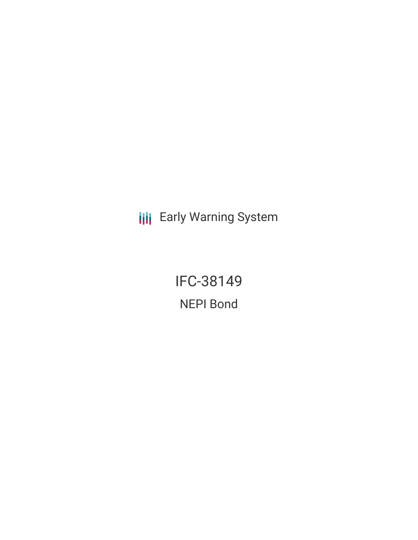**III** Early Warning System

IFC-38149 NEPI Bond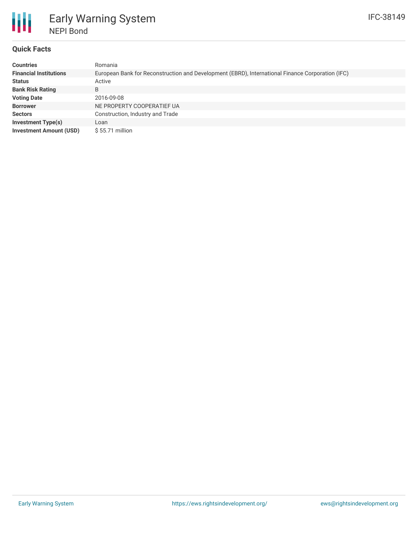

# Early Warning System NEPI Bond

# **Quick Facts**

| <b>Countries</b>               | Romania                                                                                          |  |  |  |  |
|--------------------------------|--------------------------------------------------------------------------------------------------|--|--|--|--|
| <b>Financial Institutions</b>  | European Bank for Reconstruction and Development (EBRD), International Finance Corporation (IFC) |  |  |  |  |
| <b>Status</b>                  | Active                                                                                           |  |  |  |  |
| <b>Bank Risk Rating</b>        | B                                                                                                |  |  |  |  |
| <b>Voting Date</b>             | 2016-09-08                                                                                       |  |  |  |  |
| <b>Borrower</b>                | NE PROPERTY COOPERATIEF UA                                                                       |  |  |  |  |
| <b>Sectors</b>                 | Construction, Industry and Trade                                                                 |  |  |  |  |
| <b>Investment Type(s)</b>      | Loan                                                                                             |  |  |  |  |
| <b>Investment Amount (USD)</b> | $$55.71$ million                                                                                 |  |  |  |  |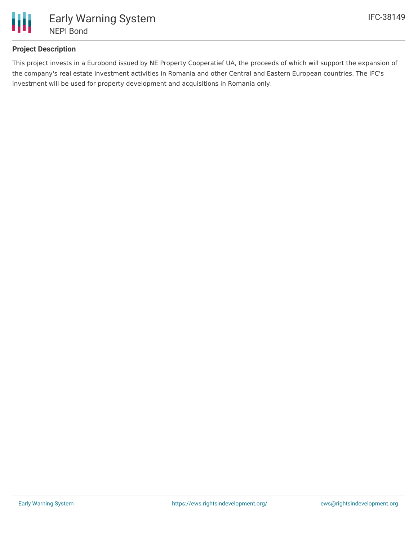

# **Project Description**

This project invests in a Eurobond issued by NE Property Cooperatief UA, the proceeds of which will support the expansion of the company's real estate investment activities in Romania and other Central and Eastern European countries. The IFC's investment will be used for property development and acquisitions in Romania only.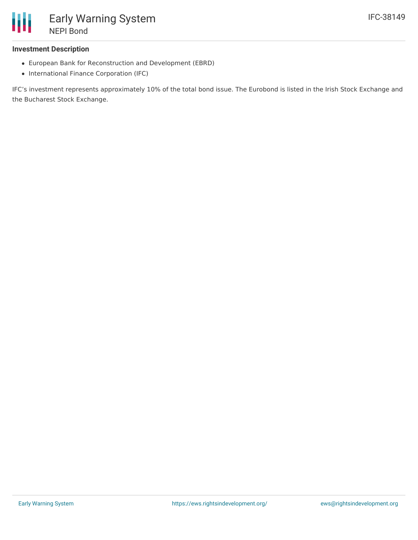

### **Investment Description**

- European Bank for Reconstruction and Development (EBRD)
- International Finance Corporation (IFC)

IFC's investment represents approximately 10% of the total bond issue. The Eurobond is listed in the Irish Stock Exchange and the Bucharest Stock Exchange.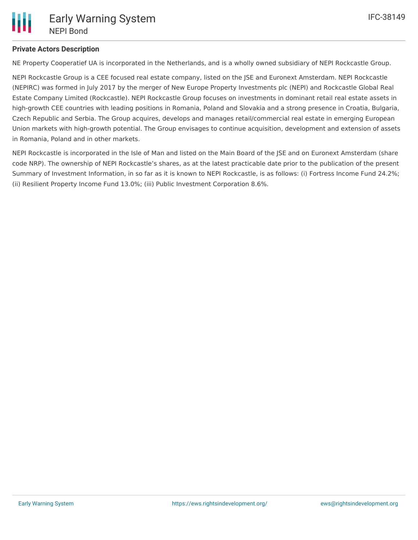## **Private Actors Description**

NE Property Cooperatief UA is incorporated in the Netherlands, and is a wholly owned subsidiary of NEPI Rockcastle Group.

NEPI Rockcastle Group is a CEE focused real estate company, listed on the JSE and Euronext Amsterdam. NEPI Rockcastle (NEPIRC) was formed in July 2017 by the merger of New Europe Property Investments plc (NEPI) and Rockcastle Global Real Estate Company Limited (Rockcastle). NEPI Rockcastle Group focuses on investments in dominant retail real estate assets in high-growth CEE countries with leading positions in Romania, Poland and Slovakia and a strong presence in Croatia, Bulgaria, Czech Republic and Serbia. The Group acquires, develops and manages retail/commercial real estate in emerging European Union markets with high-growth potential. The Group envisages to continue acquisition, development and extension of assets in Romania, Poland and in other markets.

NEPI Rockcastle is incorporated in the Isle of Man and listed on the Main Board of the JSE and on Euronext Amsterdam (share code NRP). The ownership of NEPI Rockcastle's shares, as at the latest practicable date prior to the publication of the present Summary of Investment Information, in so far as it is known to NEPI Rockcastle, is as follows: (i) Fortress Income Fund 24.2%; (ii) Resilient Property Income Fund 13.0%; (iii) Public Investment Corporation 8.6%.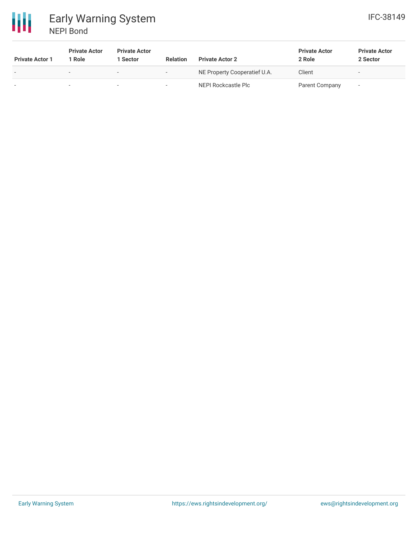

# 冊 Early Warning System NEPI Bond

| <b>Private Actor 1</b>   | <b>Private Actor</b><br>l Role | <b>Private Actor</b><br>Sector | <b>Relation</b>          | <b>Private Actor 2</b>       | <b>Private Actor</b><br>2 Role | <b>Private Actor</b><br>2 Sector |
|--------------------------|--------------------------------|--------------------------------|--------------------------|------------------------------|--------------------------------|----------------------------------|
| $\overline{\phantom{0}}$ | $\overline{\phantom{a}}$       |                                | $\overline{\phantom{0}}$ | NE Property Cooperatief U.A. | Client                         | $\overline{\phantom{a}}$         |
| ۰                        |                                |                                | $\overline{\phantom{a}}$ | NEPI Rockcastle Plc          | <b>Parent Company</b>          | ۰                                |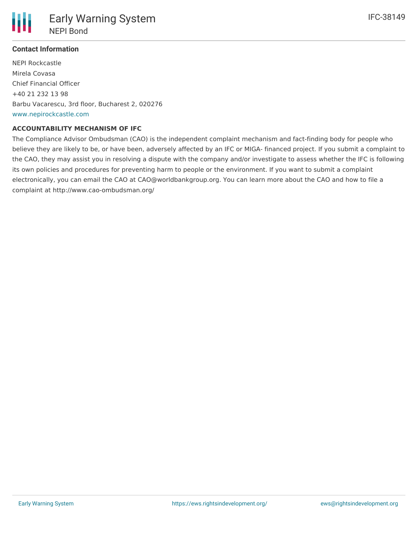

## **Contact Information**

NEPI Rockcastle Mirela Covasa Chief Financial Officer +40 21 232 13 98 Barbu Vacarescu, 3rd floor, Bucharest 2, 020276 [www.nepirockcastle.com](http://www.nepirockcastle.com)

#### **ACCOUNTABILITY MECHANISM OF IFC**

The Compliance Advisor Ombudsman (CAO) is the independent complaint mechanism and fact-finding body for people who believe they are likely to be, or have been, adversely affected by an IFC or MIGA- financed project. If you submit a complaint to the CAO, they may assist you in resolving a dispute with the company and/or investigate to assess whether the IFC is following its own policies and procedures for preventing harm to people or the environment. If you want to submit a complaint electronically, you can email the CAO at CAO@worldbankgroup.org. You can learn more about the CAO and how to file a complaint at http://www.cao-ombudsman.org/